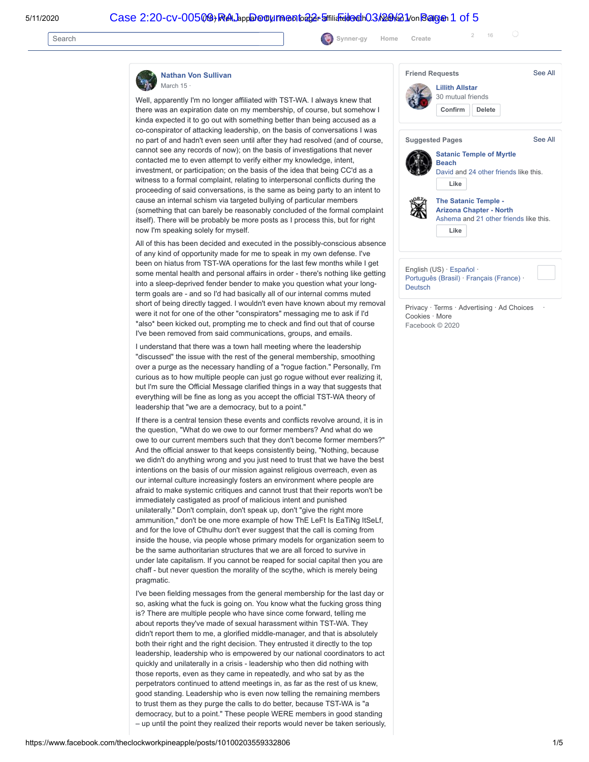Search **[Synner-gy](https://www.facebook.com/snyergy.moon.1) [Home](https://www.facebook.com/?ref=tn_tnmn) Create** <sup>2</sup> <sup>16</sup>

**[Nathan Von Sullivan](https://www.facebook.com/theclockworkpineapple?__tn__=%2CdC-R-R&eid=ARCDL1iPuOaU51hvG9G1TWUO9Mi7vZ57g3pPROcg8HvEvR4HgHckjBUuBNR3S4mll90gZcJqfxlGhQpp&hc_ref=ARQ6AUHz-B_hCEh8EcXVRCA0f3ngjztBsXo_SVFwcRYSFGCdyvr7bU3_2b1ZAYzH-xw&fref=nf)**

March 15

Well, apparently I'm no longer affiliated with TST-WA. I always knew that there was an expiration date on my membership, of course, but somehow I kinda expected it to go out with something better than being accused as a co-conspirator of attacking leadership, on the basis of conversations I was no part of and hadn't even seen until after they had resolved (and of course, cannot see any records of now); on the basis of investigations that never contacted me to even attempt to verify either my knowledge, intent, investment, or participation; on the basis of the idea that being CC'd as a witness to a formal complaint, relating to interpersonal conflicts during the proceeding of said conversations, is the same as being party to an intent to cause an internal schism via targeted bullying of particular members (something that can barely be reasonably concluded of the formal complaint itself). There will be probably be more posts as I process this, but for right now I'm speaking solely for myself.

All of this has been decided and executed in the possibly-conscious absence of any kind of opportunity made for me to speak in my own defense. I've been on hiatus from TST-WA operations for the last few months while I get some mental health and personal affairs in order - there's nothing like getting into a sleep-deprived fender bender to make you question what your longterm goals are - and so I'd had basically all of our internal comms muted short of being directly tagged. I wouldn't even have known about my removal were it not for one of the other "conspirators" messaging me to ask if I'd \*also\* been kicked out, prompting me to check and find out that of course I've been removed from said communications, groups, and emails.

I understand that there was a town hall meeting where the leadership "discussed" the issue with the rest of the general membership, smoothing over a purge as the necessary handling of a "rogue faction." Personally, I'm curious as to how multiple people can just go rogue without ever realizing it, but I'm sure the Official Message clarified things in a way that suggests that everything will be fine as long as you accept the official TST-WA theory of leadership that "we are a democracy, but to a point."

If there is a central tension these events and conflicts revolve around, it is in the question, "What do we owe to our former members? And what do we owe to our current members such that they don't become former members?" And the official answer to that keeps consistently being, "Nothing, because we didn't do anything wrong and you just need to trust that we have the best intentions on the basis of our mission against religious overreach, even as our internal culture increasingly fosters an environment where people are afraid to make systemic critiques and cannot trust that their reports won't be immediately castigated as proof of malicious intent and punished unilaterally." Don't complain, don't speak up, don't "give the right more ammunition," don't be one more example of how ThE LeFt Is EaTiNg ItSeLf, and for the love of Cthulhu don't ever suggest that the call is coming from inside the house, via people whose primary models for organization seem to be the same authoritarian structures that we are all forced to survive in under late capitalism. If you cannot be reaped for social capital then you are chaff - but never question the morality of the scythe, which is merely being pragmatic.

I've been fielding messages from the general membership for the last day or so, asking what the fuck is going on. You know what the fucking gross thing is? There are multiple people who have since come forward, telling me about reports they've made of sexual harassment within TST-WA. They didn't report them to me, a glorified middle-manager, and that is absolutely both their right and the right decision. They entrusted it directly to the top leadership, leadership who is empowered by our national coordinators to act quickly and unilaterally in a crisis - leadership who then did nothing with those reports, even as they came in repeatedly, and who sat by as the perpetrators continued to attend meetings in, as far as the rest of us knew, good standing. Leadership who is even now telling the remaining members to trust them as they purge the calls to do better, because TST-WA is "a democracy, but to a point." These people WERE members in good standing – up until the point they realized their reports would never be taken seriously,



Facebook © 2020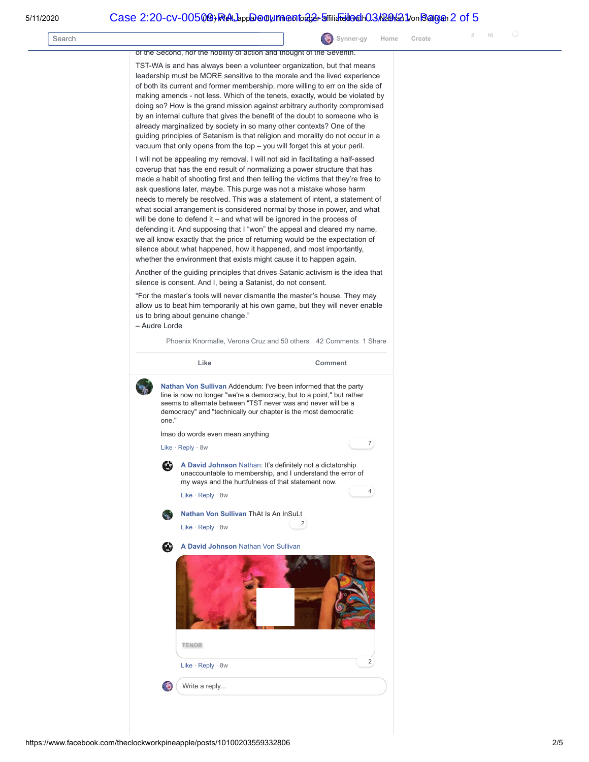|        |                                                                                                                                                                                                                                                                                                                                                                                                                                                                                                                                                                                                                                                                                                                                                                                                                                                                       |        | 16<br>$\overline{2}$ |
|--------|-----------------------------------------------------------------------------------------------------------------------------------------------------------------------------------------------------------------------------------------------------------------------------------------------------------------------------------------------------------------------------------------------------------------------------------------------------------------------------------------------------------------------------------------------------------------------------------------------------------------------------------------------------------------------------------------------------------------------------------------------------------------------------------------------------------------------------------------------------------------------|--------|----------------------|
| Search | Synner-gy<br>Home                                                                                                                                                                                                                                                                                                                                                                                                                                                                                                                                                                                                                                                                                                                                                                                                                                                     | Create |                      |
|        | of the Second, nor the nobility of action and thought of the Seventh.<br>TST-WA is and has always been a volunteer organization, but that means<br>leadership must be MORE sensitive to the morale and the lived experience                                                                                                                                                                                                                                                                                                                                                                                                                                                                                                                                                                                                                                           |        |                      |
|        | of both its current and former membership, more willing to err on the side of<br>making amends - not less. Which of the tenets, exactly, would be violated by<br>doing so? How is the grand mission against arbitrary authority compromised<br>by an internal culture that gives the benefit of the doubt to someone who is<br>already marginalized by society in so many other contexts? One of the<br>guiding principles of Satanism is that religion and morality do not occur in a<br>vacuum that only opens from the top – you will forget this at your peril.                                                                                                                                                                                                                                                                                                   |        |                      |
|        | I will not be appealing my removal. I will not aid in facilitating a half-assed<br>coverup that has the end result of normalizing a power structure that has<br>made a habit of shooting first and then telling the victims that they're free to<br>ask questions later, maybe. This purge was not a mistake whose harm<br>needs to merely be resolved. This was a statement of intent, a statement of<br>what social arrangement is considered normal by those in power, and what<br>will be done to defend it – and what will be ignored in the process of<br>defending it. And supposing that I "won" the appeal and cleared my name,<br>we all know exactly that the price of returning would be the expectation of<br>silence about what happened, how it happened, and most importantly,<br>whether the environment that exists might cause it to happen again. |        |                      |
|        | Another of the guiding principles that drives Satanic activism is the idea that<br>silence is consent. And I, being a Satanist, do not consent.                                                                                                                                                                                                                                                                                                                                                                                                                                                                                                                                                                                                                                                                                                                       |        |                      |
|        | "For the master's tools will never dismantle the master's house. They may<br>allow us to beat him temporarily at his own game, but they will never enable<br>us to bring about genuine change."<br>- Audre Lorde                                                                                                                                                                                                                                                                                                                                                                                                                                                                                                                                                                                                                                                      |        |                      |
|        | Phoenix Knormalle, Verona Cruz and 50 others 42 Comments 1 Share                                                                                                                                                                                                                                                                                                                                                                                                                                                                                                                                                                                                                                                                                                                                                                                                      |        |                      |
|        | Like<br>Comment                                                                                                                                                                                                                                                                                                                                                                                                                                                                                                                                                                                                                                                                                                                                                                                                                                                       |        |                      |
|        | Nathan Von Sullivan Addendum: I've been informed that the party<br>line is now no longer "we're a democracy, but to a point," but rather<br>seems to alternate between "TST never was and never will be a<br>democracy" and "technically our chapter is the most democratic<br>one."                                                                                                                                                                                                                                                                                                                                                                                                                                                                                                                                                                                  |        |                      |
|        | Imao do words even mean anything                                                                                                                                                                                                                                                                                                                                                                                                                                                                                                                                                                                                                                                                                                                                                                                                                                      |        |                      |
|        | 7)<br>Like $\cdot$ Reply $\cdot$ 8w                                                                                                                                                                                                                                                                                                                                                                                                                                                                                                                                                                                                                                                                                                                                                                                                                                   |        |                      |
|        | A David Johnson Nathan: It's definitely not a dictatorship<br>unaccountable to membership, and I understand the error of<br>my ways and the hurtfulness of that statement now.<br>4                                                                                                                                                                                                                                                                                                                                                                                                                                                                                                                                                                                                                                                                                   |        |                      |
|        | Like $\cdot$ Reply $\cdot$ 8w                                                                                                                                                                                                                                                                                                                                                                                                                                                                                                                                                                                                                                                                                                                                                                                                                                         |        |                      |
|        | Nathan Von Sullivan ThAt Is An InSuLt<br>$\mathbf{v}_{\mathrm{in}}$<br>2<br>Like $\cdot$ Reply $\cdot$ 8w                                                                                                                                                                                                                                                                                                                                                                                                                                                                                                                                                                                                                                                                                                                                                             |        |                      |
|        | A David Johnson Nathan Von Sullivan<br>L.                                                                                                                                                                                                                                                                                                                                                                                                                                                                                                                                                                                                                                                                                                                                                                                                                             |        |                      |
|        | <b>TENOR</b>                                                                                                                                                                                                                                                                                                                                                                                                                                                                                                                                                                                                                                                                                                                                                                                                                                                          |        |                      |
|        | 2                                                                                                                                                                                                                                                                                                                                                                                                                                                                                                                                                                                                                                                                                                                                                                                                                                                                     |        |                      |
|        | Like · Reply · 8w                                                                                                                                                                                                                                                                                                                                                                                                                                                                                                                                                                                                                                                                                                                                                                                                                                                     |        |                      |
|        | Write a reply                                                                                                                                                                                                                                                                                                                                                                                                                                                                                                                                                                                                                                                                                                                                                                                                                                                         |        |                      |

https://www.facebook.com/theclockworkpineapple/posts/10100203559332806 2/5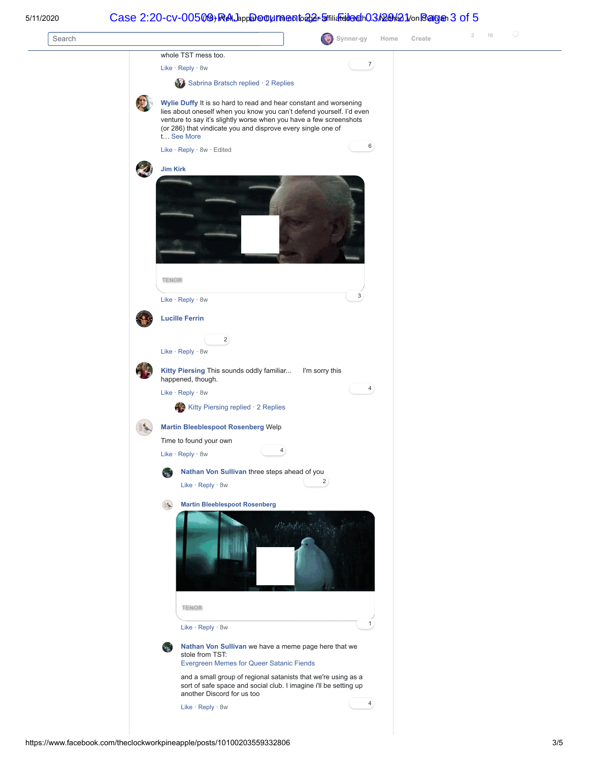## 5/11/2020 (18) Well, apparently I'm no longer affiliated with... - Nathan Von Sullivan Case 2:20-cv-00509-RAJ Document 22-5 Filed 03/29/21 Page 3 of 5

| Search |                                                                                                                                                                                                                                                                                               | G<br>Synner-gy<br>Home | Create | $\bigcirc$<br>16<br>$\overline{2}$ |
|--------|-----------------------------------------------------------------------------------------------------------------------------------------------------------------------------------------------------------------------------------------------------------------------------------------------|------------------------|--------|------------------------------------|
|        | whole TST mess too.                                                                                                                                                                                                                                                                           |                        |        |                                    |
|        | Like · Reply · 8w                                                                                                                                                                                                                                                                             | $\mathbf{Z}$           |        |                                    |
|        | Sabrina Bratsch replied · 2 Replies                                                                                                                                                                                                                                                           |                        |        |                                    |
|        | Wylie Duffy It is so hard to read and hear constant and worsening<br>lies about oneself when you know you can't defend yourself. I'd even<br>venture to say it's slightly worse when you have a few screenshots<br>(or 286) that vindicate you and disprove every single one of<br>t See More | 6                      |        |                                    |
|        | Like · Reply · 8w · Edited                                                                                                                                                                                                                                                                    |                        |        |                                    |
|        | Jim Kirk<br><b>TENOR</b>                                                                                                                                                                                                                                                                      |                        |        |                                    |
|        | Like · Reply · 8w                                                                                                                                                                                                                                                                             | 3                      |        |                                    |
|        | <b>Lucille Ferrin</b>                                                                                                                                                                                                                                                                         |                        |        |                                    |
|        |                                                                                                                                                                                                                                                                                               |                        |        |                                    |
|        | $\mathbf{2}$<br>Like · Reply · 8w                                                                                                                                                                                                                                                             |                        |        |                                    |
|        | Kitty Piersing This sounds oddly familiar<br>happened, though.                                                                                                                                                                                                                                | I'm sorry this         |        |                                    |
|        | Like · Reply · 8w                                                                                                                                                                                                                                                                             | $\left( 4\right)$      |        |                                    |
|        | Kitty Piersing replied · 2 Replies                                                                                                                                                                                                                                                            |                        |        |                                    |
|        | <b>Martin Bleeblespoot Rosenberg Welp</b><br>Time to found your own<br>4<br>Like · Reply · 8w<br>Nathan Von Sullivan three steps ahead of you<br>Like · Reply · 8w                                                                                                                            | $\mathbf{2}$           |        |                                    |
|        | <b>Martin Bleeblespoot Rosenberg</b><br>酥                                                                                                                                                                                                                                                     |                        |        |                                    |
|        |                                                                                                                                                                                                                                                                                               |                        |        |                                    |
|        | <b>TENOR</b>                                                                                                                                                                                                                                                                                  |                        |        |                                    |
|        | Like · Reply · 8w                                                                                                                                                                                                                                                                             | 1                      |        |                                    |
|        | Nathan Von Sullivan we have a meme page here that we<br>$\mathcal{L}_{\text{max}}$<br>stole from TST:<br>Evergreen Memes for Queer Satanic Fiends                                                                                                                                             |                        |        |                                    |
|        | and a small group of regional satanists that we're using as a<br>sort of safe space and social club. I imagine i'll be setting up<br>another Discord for us too                                                                                                                               |                        |        |                                    |
|        | Like · Reply · 8w                                                                                                                                                                                                                                                                             | 4                      |        |                                    |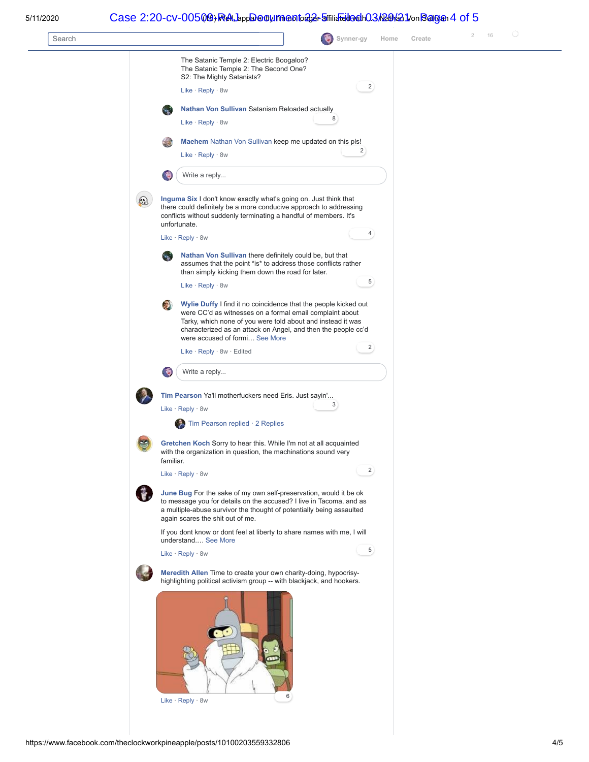### 5/11/2020 (18) Well, apparently I'm no longer affiliated with... - Nathan Von Sullivan Case 2:20-cv-00509-RAJ Document 22-5 Filed 03/29/21 Page 4 of 5

| The Satanic Temple 2: Electric Boogaloo?<br>The Satanic Temple 2: The Second One?<br>S2: The Mighty Satanists?<br>$\overline{2}$<br>Like $\cdot$ Reply $\cdot$ 8w<br>Nathan Von Sullivan Satanism Reloaded actually<br>8<br>Like · Reply · 8w<br>Maehem Nathan Von Sullivan keep me updated on this pls!<br>$\overline{2}$<br>Like $\cdot$ Reply $\cdot$ 8w<br>Write a reply<br>P.<br>Inguma Six I don't know exactly what's going on. Just think that<br>$\odot$<br>there could definitely be a more conducive approach to addressing<br>conflicts without suddenly terminating a handful of members. It's<br>unfortunate.<br>$\overline{4}$<br>Like $\cdot$ Reply $\cdot$ 8w<br>Nathan Von Sullivan there definitely could be, but that<br>$\frac{1}{2}$<br>assumes that the point *is* to address those conflicts rather<br>than simply kicking them down the road for later.<br>$\overline{5}$<br>Like $\cdot$ Reply $\cdot$ 8w<br>R)<br>Wylie Duffy I find it no coincidence that the people kicked out<br>were CC'd as witnesses on a formal email complaint about<br>Tarky, which none of you were told about and instead it was<br>characterized as an attack on Angel, and then the people cc'd<br>were accused of formi See More<br>$\overline{2}$<br>Like · Reply · 8w · Edited<br>Write a reply<br>J.<br>Tim Pearson Ya'll motherfuckers need Eris. Just sayin'<br>3<br>Like $\cdot$ Reply $\cdot$ 8w<br>Tim Pearson replied · 2 Replies<br>Gretchen Koch Sorry to hear this. While I'm not at all acquainted<br>with the organization in question, the machinations sound very<br>familiar.<br>$\overline{2}$<br>Like · Reply · 8w<br>June Bug For the sake of my own self-preservation, would it be ok<br>to message you for details on the accused? I live in Tacoma, and as<br>a multiple-abuse survivor the thought of potentially being assaulted<br>again scares the shit out of me.<br>If you dont know or dont feel at liberty to share names with me, I will<br>understand See More<br>5 <sub>1</sub><br>Like $\cdot$ Reply $\cdot$ 8w<br>Meredith Allen Time to create your own charity-doing, hypocrisy-<br>highlighting political activism group -- with blackjack, and hookers.<br>$\bullet \bullet$<br>6<br>Like · Reply · 8w | Search | Synner-gy | Home | Create | 16<br>$\overline{2}$ | $\bigcirc$ |
|----------------------------------------------------------------------------------------------------------------------------------------------------------------------------------------------------------------------------------------------------------------------------------------------------------------------------------------------------------------------------------------------------------------------------------------------------------------------------------------------------------------------------------------------------------------------------------------------------------------------------------------------------------------------------------------------------------------------------------------------------------------------------------------------------------------------------------------------------------------------------------------------------------------------------------------------------------------------------------------------------------------------------------------------------------------------------------------------------------------------------------------------------------------------------------------------------------------------------------------------------------------------------------------------------------------------------------------------------------------------------------------------------------------------------------------------------------------------------------------------------------------------------------------------------------------------------------------------------------------------------------------------------------------------------------------------------------------------------------------------------------------------------------------------------------------------------------------------------------------------------------------------------------------------------------------------------------------------------------------------------------------------------------------------------------------------------------------------------------------------------------------------------------------------------------------------------------------------------------------------------------|--------|-----------|------|--------|----------------------|------------|
|                                                                                                                                                                                                                                                                                                                                                                                                                                                                                                                                                                                                                                                                                                                                                                                                                                                                                                                                                                                                                                                                                                                                                                                                                                                                                                                                                                                                                                                                                                                                                                                                                                                                                                                                                                                                                                                                                                                                                                                                                                                                                                                                                                                                                                                          |        |           |      |        |                      |            |
|                                                                                                                                                                                                                                                                                                                                                                                                                                                                                                                                                                                                                                                                                                                                                                                                                                                                                                                                                                                                                                                                                                                                                                                                                                                                                                                                                                                                                                                                                                                                                                                                                                                                                                                                                                                                                                                                                                                                                                                                                                                                                                                                                                                                                                                          |        |           |      |        |                      |            |
|                                                                                                                                                                                                                                                                                                                                                                                                                                                                                                                                                                                                                                                                                                                                                                                                                                                                                                                                                                                                                                                                                                                                                                                                                                                                                                                                                                                                                                                                                                                                                                                                                                                                                                                                                                                                                                                                                                                                                                                                                                                                                                                                                                                                                                                          |        |           |      |        |                      |            |
|                                                                                                                                                                                                                                                                                                                                                                                                                                                                                                                                                                                                                                                                                                                                                                                                                                                                                                                                                                                                                                                                                                                                                                                                                                                                                                                                                                                                                                                                                                                                                                                                                                                                                                                                                                                                                                                                                                                                                                                                                                                                                                                                                                                                                                                          |        |           |      |        |                      |            |
|                                                                                                                                                                                                                                                                                                                                                                                                                                                                                                                                                                                                                                                                                                                                                                                                                                                                                                                                                                                                                                                                                                                                                                                                                                                                                                                                                                                                                                                                                                                                                                                                                                                                                                                                                                                                                                                                                                                                                                                                                                                                                                                                                                                                                                                          |        |           |      |        |                      |            |
|                                                                                                                                                                                                                                                                                                                                                                                                                                                                                                                                                                                                                                                                                                                                                                                                                                                                                                                                                                                                                                                                                                                                                                                                                                                                                                                                                                                                                                                                                                                                                                                                                                                                                                                                                                                                                                                                                                                                                                                                                                                                                                                                                                                                                                                          |        |           |      |        |                      |            |
|                                                                                                                                                                                                                                                                                                                                                                                                                                                                                                                                                                                                                                                                                                                                                                                                                                                                                                                                                                                                                                                                                                                                                                                                                                                                                                                                                                                                                                                                                                                                                                                                                                                                                                                                                                                                                                                                                                                                                                                                                                                                                                                                                                                                                                                          |        |           |      |        |                      |            |
|                                                                                                                                                                                                                                                                                                                                                                                                                                                                                                                                                                                                                                                                                                                                                                                                                                                                                                                                                                                                                                                                                                                                                                                                                                                                                                                                                                                                                                                                                                                                                                                                                                                                                                                                                                                                                                                                                                                                                                                                                                                                                                                                                                                                                                                          |        |           |      |        |                      |            |
|                                                                                                                                                                                                                                                                                                                                                                                                                                                                                                                                                                                                                                                                                                                                                                                                                                                                                                                                                                                                                                                                                                                                                                                                                                                                                                                                                                                                                                                                                                                                                                                                                                                                                                                                                                                                                                                                                                                                                                                                                                                                                                                                                                                                                                                          |        |           |      |        |                      |            |
|                                                                                                                                                                                                                                                                                                                                                                                                                                                                                                                                                                                                                                                                                                                                                                                                                                                                                                                                                                                                                                                                                                                                                                                                                                                                                                                                                                                                                                                                                                                                                                                                                                                                                                                                                                                                                                                                                                                                                                                                                                                                                                                                                                                                                                                          |        |           |      |        |                      |            |
|                                                                                                                                                                                                                                                                                                                                                                                                                                                                                                                                                                                                                                                                                                                                                                                                                                                                                                                                                                                                                                                                                                                                                                                                                                                                                                                                                                                                                                                                                                                                                                                                                                                                                                                                                                                                                                                                                                                                                                                                                                                                                                                                                                                                                                                          |        |           |      |        |                      |            |
|                                                                                                                                                                                                                                                                                                                                                                                                                                                                                                                                                                                                                                                                                                                                                                                                                                                                                                                                                                                                                                                                                                                                                                                                                                                                                                                                                                                                                                                                                                                                                                                                                                                                                                                                                                                                                                                                                                                                                                                                                                                                                                                                                                                                                                                          |        |           |      |        |                      |            |
|                                                                                                                                                                                                                                                                                                                                                                                                                                                                                                                                                                                                                                                                                                                                                                                                                                                                                                                                                                                                                                                                                                                                                                                                                                                                                                                                                                                                                                                                                                                                                                                                                                                                                                                                                                                                                                                                                                                                                                                                                                                                                                                                                                                                                                                          |        |           |      |        |                      |            |
|                                                                                                                                                                                                                                                                                                                                                                                                                                                                                                                                                                                                                                                                                                                                                                                                                                                                                                                                                                                                                                                                                                                                                                                                                                                                                                                                                                                                                                                                                                                                                                                                                                                                                                                                                                                                                                                                                                                                                                                                                                                                                                                                                                                                                                                          |        |           |      |        |                      |            |
|                                                                                                                                                                                                                                                                                                                                                                                                                                                                                                                                                                                                                                                                                                                                                                                                                                                                                                                                                                                                                                                                                                                                                                                                                                                                                                                                                                                                                                                                                                                                                                                                                                                                                                                                                                                                                                                                                                                                                                                                                                                                                                                                                                                                                                                          |        |           |      |        |                      |            |
|                                                                                                                                                                                                                                                                                                                                                                                                                                                                                                                                                                                                                                                                                                                                                                                                                                                                                                                                                                                                                                                                                                                                                                                                                                                                                                                                                                                                                                                                                                                                                                                                                                                                                                                                                                                                                                                                                                                                                                                                                                                                                                                                                                                                                                                          |        |           |      |        |                      |            |
|                                                                                                                                                                                                                                                                                                                                                                                                                                                                                                                                                                                                                                                                                                                                                                                                                                                                                                                                                                                                                                                                                                                                                                                                                                                                                                                                                                                                                                                                                                                                                                                                                                                                                                                                                                                                                                                                                                                                                                                                                                                                                                                                                                                                                                                          |        |           |      |        |                      |            |
|                                                                                                                                                                                                                                                                                                                                                                                                                                                                                                                                                                                                                                                                                                                                                                                                                                                                                                                                                                                                                                                                                                                                                                                                                                                                                                                                                                                                                                                                                                                                                                                                                                                                                                                                                                                                                                                                                                                                                                                                                                                                                                                                                                                                                                                          |        |           |      |        |                      |            |
|                                                                                                                                                                                                                                                                                                                                                                                                                                                                                                                                                                                                                                                                                                                                                                                                                                                                                                                                                                                                                                                                                                                                                                                                                                                                                                                                                                                                                                                                                                                                                                                                                                                                                                                                                                                                                                                                                                                                                                                                                                                                                                                                                                                                                                                          |        |           |      |        |                      |            |
|                                                                                                                                                                                                                                                                                                                                                                                                                                                                                                                                                                                                                                                                                                                                                                                                                                                                                                                                                                                                                                                                                                                                                                                                                                                                                                                                                                                                                                                                                                                                                                                                                                                                                                                                                                                                                                                                                                                                                                                                                                                                                                                                                                                                                                                          |        |           |      |        |                      |            |
|                                                                                                                                                                                                                                                                                                                                                                                                                                                                                                                                                                                                                                                                                                                                                                                                                                                                                                                                                                                                                                                                                                                                                                                                                                                                                                                                                                                                                                                                                                                                                                                                                                                                                                                                                                                                                                                                                                                                                                                                                                                                                                                                                                                                                                                          |        |           |      |        |                      |            |
|                                                                                                                                                                                                                                                                                                                                                                                                                                                                                                                                                                                                                                                                                                                                                                                                                                                                                                                                                                                                                                                                                                                                                                                                                                                                                                                                                                                                                                                                                                                                                                                                                                                                                                                                                                                                                                                                                                                                                                                                                                                                                                                                                                                                                                                          |        |           |      |        |                      |            |
|                                                                                                                                                                                                                                                                                                                                                                                                                                                                                                                                                                                                                                                                                                                                                                                                                                                                                                                                                                                                                                                                                                                                                                                                                                                                                                                                                                                                                                                                                                                                                                                                                                                                                                                                                                                                                                                                                                                                                                                                                                                                                                                                                                                                                                                          |        |           |      |        |                      |            |
|                                                                                                                                                                                                                                                                                                                                                                                                                                                                                                                                                                                                                                                                                                                                                                                                                                                                                                                                                                                                                                                                                                                                                                                                                                                                                                                                                                                                                                                                                                                                                                                                                                                                                                                                                                                                                                                                                                                                                                                                                                                                                                                                                                                                                                                          |        |           |      |        |                      |            |
|                                                                                                                                                                                                                                                                                                                                                                                                                                                                                                                                                                                                                                                                                                                                                                                                                                                                                                                                                                                                                                                                                                                                                                                                                                                                                                                                                                                                                                                                                                                                                                                                                                                                                                                                                                                                                                                                                                                                                                                                                                                                                                                                                                                                                                                          |        |           |      |        |                      |            |